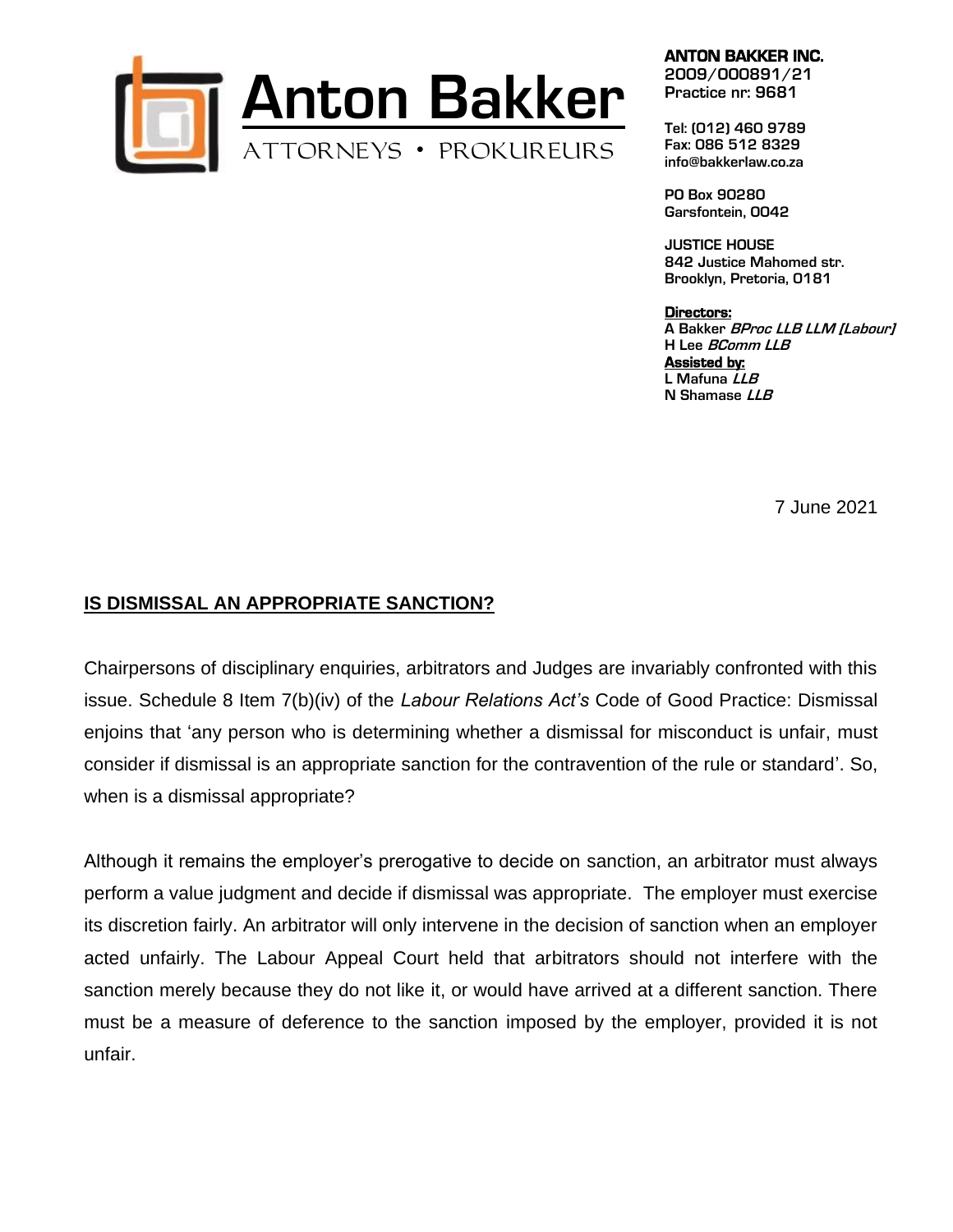

ANTON BAKKER INC.

2009/000891/21 Practice nr: 9681

Tel: (012) 460 9789 Fax: 086 512 8329 info@bakkerlaw.co.za

PO Box 90280 Garsfontein, 0042

JUSTICE HOUSE 842 Justice Mahomed str. Brooklyn, Pretoria, 0181

Directors: A Bakker *BProc LLB LLM [Labour]* H Lee BComm LLB Assisted by: L Mafuna LLB N Shamase LLB

7 June 2021

## **IS DISMISSAL AN APPROPRIATE SANCTION?**

Chairpersons of disciplinary enquiries, arbitrators and Judges are invariably confronted with this issue. Schedule 8 Item 7(b)(iv) of the *Labour Relations Act's* Code of Good Practice: Dismissal enjoins that 'any person who is determining whether a dismissal for misconduct is unfair, must consider if dismissal is an appropriate sanction for the contravention of the rule or standard'. So, when is a dismissal appropriate?

Although it remains the employer's prerogative to decide on sanction, an arbitrator must always perform a value judgment and decide if dismissal was appropriate. The employer must exercise its discretion fairly. An arbitrator will only intervene in the decision of sanction when an employer acted unfairly. The Labour Appeal Court held that arbitrators should not interfere with the sanction merely because they do not like it, or would have arrived at a different sanction. There must be a measure of deference to the sanction imposed by the employer, provided it is not unfair.